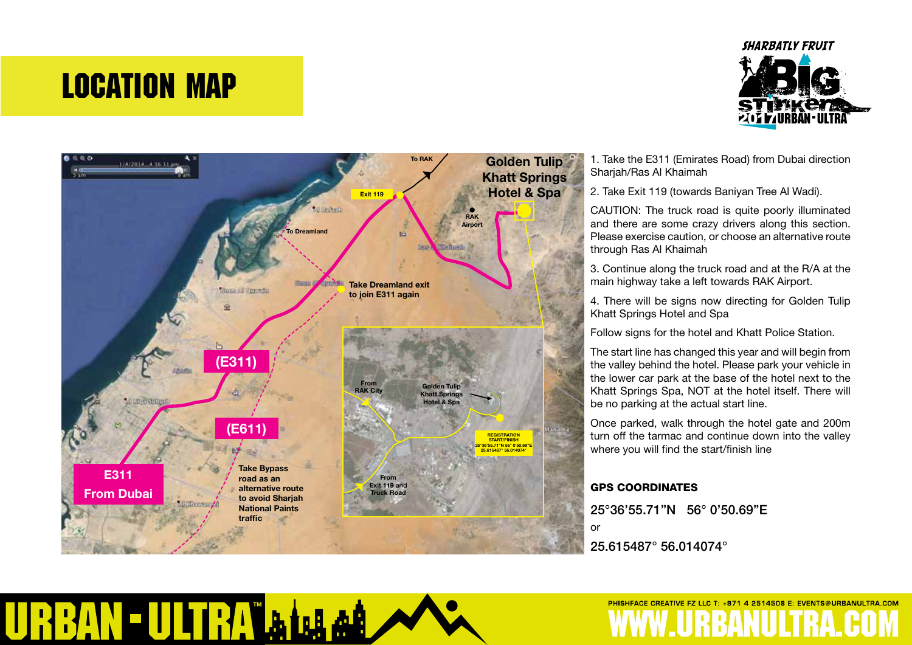# LOCATION MAP





1. Take the E311 (Emirates Road) from Dubai direction Sharjah/Ras Al Khaimah

2. Take Exit 119 (towards Baniyan Tree Al Wadi).

CAUTION: The truck road is quite poorly illuminated and there are some crazy drivers along this section. Please exercise caution, or choose an alternative route through Ras Al Khaimah

3. Continue along the truck road and at the R/A at the main highway take a left towards RAK Airport.

4. There will be signs now directing for Golden Tulip Khatt Springs Hotel and Spa

Follow signs for the hotel and Khatt Police Station.

The start line has changed this year and will begin from the valley behind the hotel. Please park your vehicle in the lower car park at the base of the hotel next to the Khatt Springs Spa, NOT at the hotel itself. There will be no parking at the actual start line.

Once parked, walk through the hotel gate and 200m turn off the tarmac and continue down into the valley where you will find the start/finish line

PHISHFACE CREATIVE FZ LLC T: +971 4 2514508 E: EVENTS@URBANULTRA.COM

#### GPS COORDINATES

25°36'55.71"N 56° 0'50.69"E

or

25.615487° 56.014074°

### RBAN - ULTRA فمنفط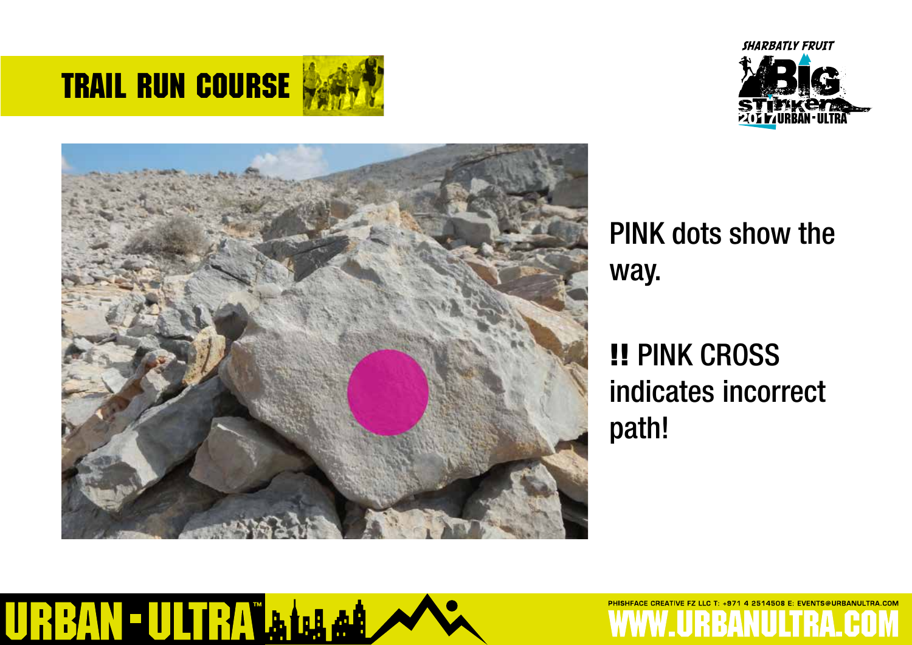



+971 4 2514508 E: EVENTS@URBANULTRA.COM



## PINK dots show the way.

# !! PINK CROSS indicates incorrect path!